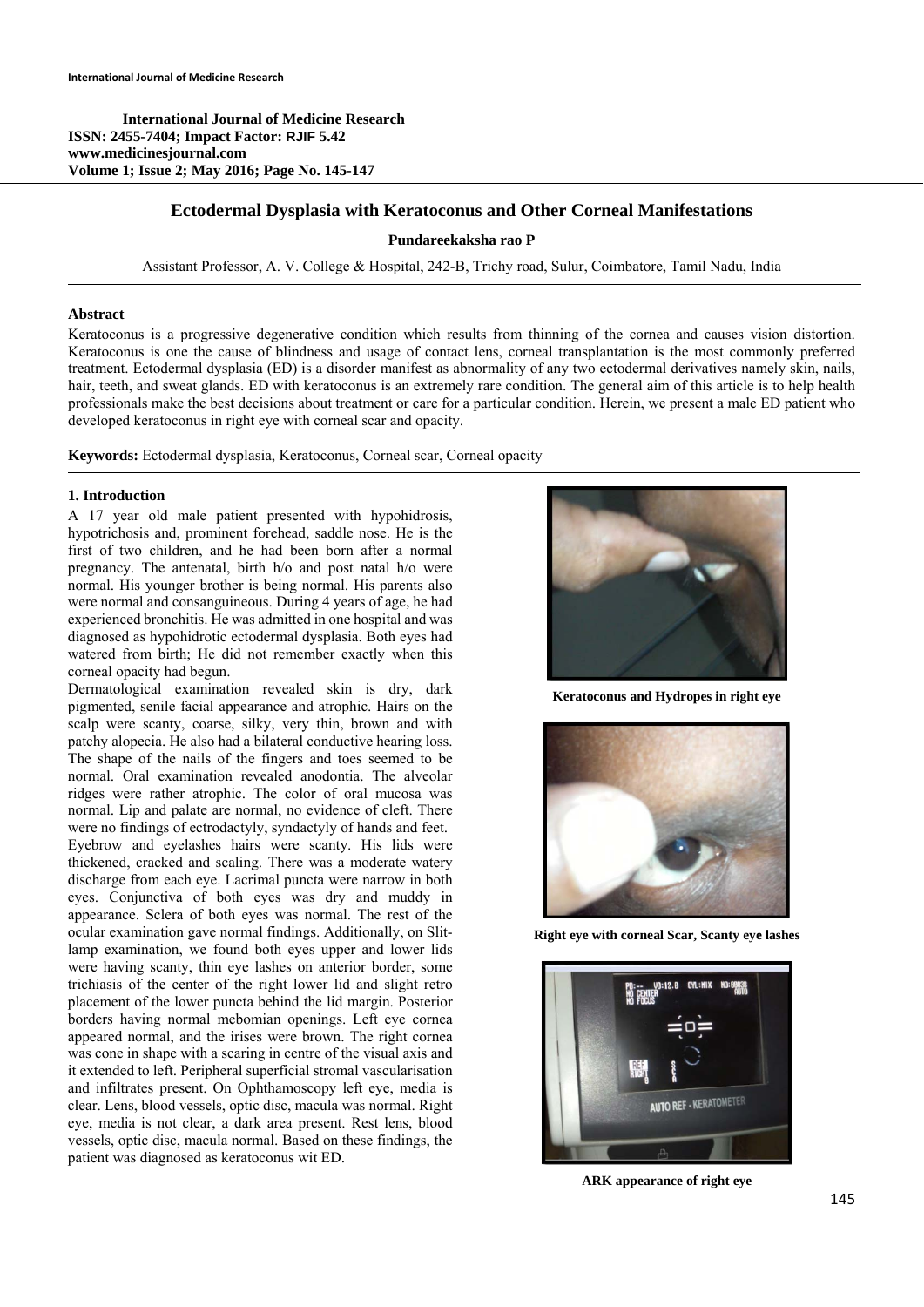**International Journal of Medicine Research ISSN: 2455-7404; Impact Factor: RJIF 5.42 www.medicinesjournal.com Volume 1; Issue 2; May 2016; Page No. 145-147** 

# **Ectodermal Dysplasia with Keratoconus and Other Corneal Manifestations**

## **Pundareekaksha rao P**

Assistant Professor, A. V. College & Hospital, 242-B, Trichy road, Sulur, Coimbatore, Tamil Nadu, India

### **Abstract**

Keratoconus is a progressive degenerative condition which results from thinning of the cornea and causes vision distortion. Keratoconus is one the cause of blindness and usage of contact lens, corneal transplantation is the most commonly preferred treatment. Ectodermal dysplasia (ED) is a disorder manifest as abnormality of any two ectodermal derivatives namely skin, nails, hair, teeth, and sweat glands. ED with keratoconus is an extremely rare condition. The general aim of this article is to help health professionals make the best decisions about treatment or care for a particular condition. Herein, we present a male ED patient who developed keratoconus in right eye with corneal scar and opacity.

**Keywords:** Ectodermal dysplasia, Keratoconus, Corneal scar, Corneal opacity

### **1. Introduction**

A 17 year old male patient presented with hypohidrosis, hypotrichosis and, prominent forehead, saddle nose. He is the first of two children, and he had been born after a normal pregnancy. The antenatal, birth h/o and post natal h/o were normal. His younger brother is being normal. His parents also were normal and consanguineous. During 4 years of age, he had experienced bronchitis. He was admitted in one hospital and was diagnosed as hypohidrotic ectodermal dysplasia. Both eyes had watered from birth; He did not remember exactly when this corneal opacity had begun.

Dermatological examination revealed skin is dry, dark pigmented, senile facial appearance and atrophic. Hairs on the scalp were scanty, coarse, silky, very thin, brown and with patchy alopecia. He also had a bilateral conductive hearing loss. The shape of the nails of the fingers and toes seemed to be normal. Oral examination revealed anodontia. The alveolar ridges were rather atrophic. The color of oral mucosa was normal. Lip and palate are normal, no evidence of cleft. There were no findings of ectrodactyly, syndactyly of hands and feet. Eyebrow and eyelashes hairs were scanty. His lids were thickened, cracked and scaling. There was a moderate watery discharge from each eye. Lacrimal puncta were narrow in both eyes. Conjunctiva of both eyes was dry and muddy in appearance. Sclera of both eyes was normal. The rest of the ocular examination gave normal findings. Additionally, on Slitlamp examination, we found both eyes upper and lower lids were having scanty, thin eye lashes on anterior border, some trichiasis of the center of the right lower lid and slight retro placement of the lower puncta behind the lid margin. Posterior borders having normal mebomian openings. Left eye cornea appeared normal, and the irises were brown. The right cornea was cone in shape with a scaring in centre of the visual axis and it extended to left. Peripheral superficial stromal vascularisation and infiltrates present. On Ophthamoscopy left eye, media is clear. Lens, blood vessels, optic disc, macula was normal. Right eye, media is not clear, a dark area present. Rest lens, blood vessels, optic disc, macula normal. Based on these findings, the patient was diagnosed as keratoconus wit ED.



**Keratoconus and Hydropes in right eye** 



**Right eye with corneal Scar, Scanty eye lashes** 



**ARK appearance of right eye**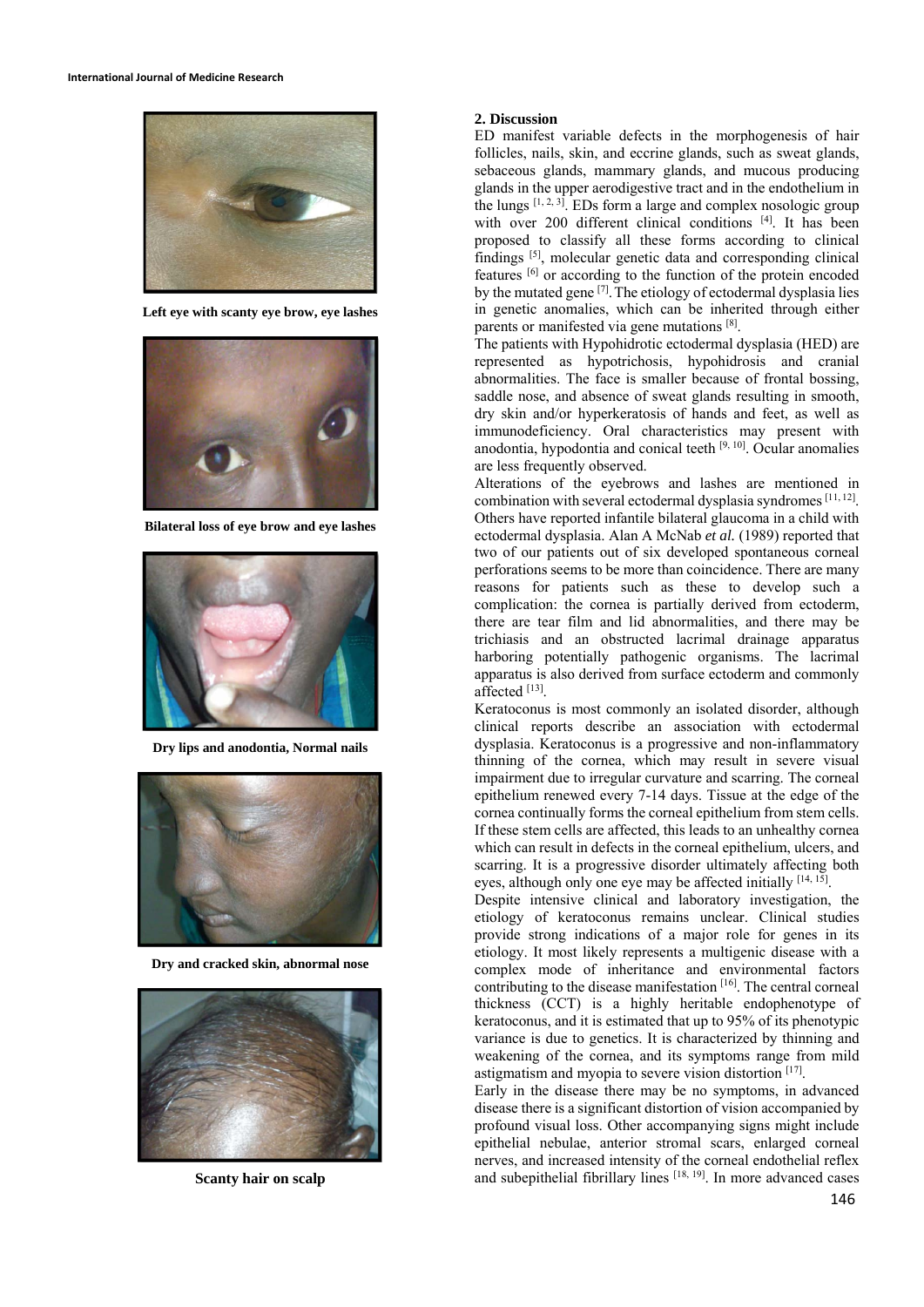

**Left eye with scanty eye brow, eye lashes**



**Bilateral loss of eye brow and eye lashes** 



**Dry lips and anodontia, Normal nails**



**Dry and cracked skin, abnormal nose**



**Scanty hair on scalp** 

#### **2. Discussion**

ED manifest variable defects in the morphogenesis of hair follicles, nails, skin, and eccrine glands, such as sweat glands, sebaceous glands, mammary glands, and mucous producing glands in the upper aerodigestive tract and in the endothelium in the lungs  $[1, 2, 3]$ . EDs form a large and complex nosologic group with over 200 different clinical conditions [4]. It has been proposed to classify all these forms according to clinical findings [5], molecular genetic data and corresponding clinical features [6] or according to the function of the protein encoded by the mutated gene  $[7]$ . The etiology of ectodermal dysplasia lies in genetic anomalies, which can be inherited through either parents or manifested via gene mutations [8].

The patients with Hypohidrotic ectodermal dysplasia (HED) are represented as hypotrichosis, hypohidrosis and cranial abnormalities. The face is smaller because of frontal bossing, saddle nose, and absence of sweat glands resulting in smooth, dry skin and/or hyperkeratosis of hands and feet, as well as immunodeficiency. Oral characteristics may present with anodontia, hypodontia and conical teeth  $[9, 10]$ . Ocular anomalies are less frequently observed.

Alterations of the eyebrows and lashes are mentioned in combination with several ectodermal dysplasia syndromes [11, 12]. Others have reported infantile bilateral glaucoma in a child with ectodermal dysplasia. Alan A McNab *et al.* (1989) reported that two of our patients out of six developed spontaneous corneal perforations seems to be more than coincidence. There are many reasons for patients such as these to develop such a complication: the cornea is partially derived from ectoderm, there are tear film and lid abnormalities, and there may be trichiasis and an obstructed lacrimal drainage apparatus harboring potentially pathogenic organisms. The lacrimal apparatus is also derived from surface ectoderm and commonly affected [13].

Keratoconus is most commonly an isolated disorder, although clinical reports describe an association with ectodermal dysplasia. Keratoconus is a progressive and non-inflammatory thinning of the cornea, which may result in severe visual impairment due to irregular curvature and scarring. The corneal epithelium renewed every 7-14 days. Tissue at the edge of the cornea continually forms the corneal epithelium from stem cells. If these stem cells are affected, this leads to an unhealthy cornea which can result in defects in the corneal epithelium, ulcers, and scarring. It is a progressive disorder ultimately affecting both eyes, although only one eye may be affected initially [14, 15].

Despite intensive clinical and laboratory investigation, the etiology of keratoconus remains unclear. Clinical studies provide strong indications of a major role for genes in its etiology. It most likely represents a multigenic disease with a complex mode of inheritance and environmental factors contributing to the disease manifestation [16]. The central corneal thickness (CCT) is a highly heritable endophenotype of keratoconus, and it is estimated that up to 95% of its phenotypic variance is due to genetics. It is characterized by thinning and weakening of the cornea, and its symptoms range from mild astigmatism and myopia to severe vision distortion [17].

Early in the disease there may be no symptoms, in advanced disease there is a significant distortion of vision accompanied by profound visual loss. Other accompanying signs might include epithelial nebulae, anterior stromal scars, enlarged corneal nerves, and increased intensity of the corneal endothelial reflex and subepithelial fibrillary lines [18, 19]. In more advanced cases